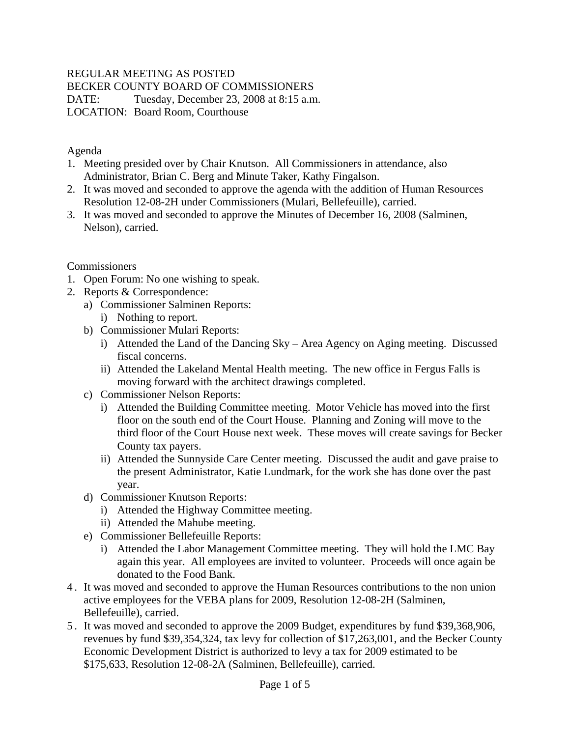## REGULAR MEETING AS POSTED

BECKER COUNTY BOARD OF COMMISSIONERS

DATE: Tuesday, December 23, 2008 at 8:15 a.m. LOCATION: Board Room, Courthouse

Agenda

- 1. Meeting presided over by Chair Knutson. All Commissioners in attendance, also Administrator, Brian C. Berg and Minute Taker, Kathy Fingalson.
- 2. It was moved and seconded to approve the agenda with the addition of Human Resources Resolution 12-08-2H under Commissioners (Mulari, Bellefeuille), carried.
- 3. It was moved and seconded to approve the Minutes of December 16, 2008 (Salminen, Nelson), carried.

**Commissioners** 

- 1. Open Forum: No one wishing to speak.
- 2. Reports & Correspondence:
	- a) Commissioner Salminen Reports:
		- i) Nothing to report.
	- b) Commissioner Mulari Reports:
		- i) Attended the Land of the Dancing Sky Area Agency on Aging meeting. Discussed fiscal concerns.
		- ii) Attended the Lakeland Mental Health meeting. The new office in Fergus Falls is moving forward with the architect drawings completed.
	- c) Commissioner Nelson Reports:
		- i) Attended the Building Committee meeting. Motor Vehicle has moved into the first floor on the south end of the Court House. Planning and Zoning will move to the third floor of the Court House next week. These moves will create savings for Becker County tax payers.
		- ii) Attended the Sunnyside Care Center meeting. Discussed the audit and gave praise to the present Administrator, Katie Lundmark, for the work she has done over the past year.
	- d) Commissioner Knutson Reports:
		- i) Attended the Highway Committee meeting.
		- ii) Attended the Mahube meeting.
	- e) Commissioner Bellefeuille Reports:
		- i) Attended the Labor Management Committee meeting. They will hold the LMC Bay again this year. All employees are invited to volunteer. Proceeds will once again be donated to the Food Bank.
- 4 . It was moved and seconded to approve the Human Resources contributions to the non union active employees for the VEBA plans for 2009, Resolution 12-08-2H (Salminen, Bellefeuille), carried.
- 5 . It was moved and seconded to approve the 2009 Budget, expenditures by fund \$39,368,906, revenues by fund \$39,354,324, tax levy for collection of \$17,263,001, and the Becker County Economic Development District is authorized to levy a tax for 2009 estimated to be \$175,633, Resolution 12-08-2A (Salminen, Bellefeuille), carried.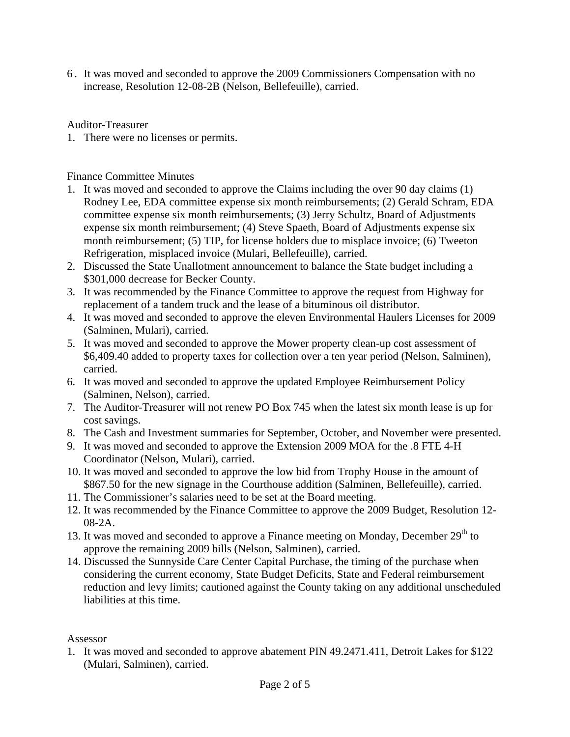6 . It was moved and seconded to approve the 2009 Commissioners Compensation with no increase, Resolution 12-08-2B (Nelson, Bellefeuille), carried.

Auditor-Treasurer

1. There were no licenses or permits.

Finance Committee Minutes

- 1. It was moved and seconded to approve the Claims including the over 90 day claims (1) Rodney Lee, EDA committee expense six month reimbursements; (2) Gerald Schram, EDA committee expense six month reimbursements; (3) Jerry Schultz, Board of Adjustments expense six month reimbursement; (4) Steve Spaeth, Board of Adjustments expense six month reimbursement; (5) TIP, for license holders due to misplace invoice; (6) Tweeton Refrigeration, misplaced invoice (Mulari, Bellefeuille), carried.
- 2. Discussed the State Unallotment announcement to balance the State budget including a \$301,000 decrease for Becker County.
- 3. It was recommended by the Finance Committee to approve the request from Highway for replacement of a tandem truck and the lease of a bituminous oil distributor.
- 4. It was moved and seconded to approve the eleven Environmental Haulers Licenses for 2009 (Salminen, Mulari), carried.
- 5. It was moved and seconded to approve the Mower property clean-up cost assessment of \$6,409.40 added to property taxes for collection over a ten year period (Nelson, Salminen), carried.
- 6. It was moved and seconded to approve the updated Employee Reimbursement Policy (Salminen, Nelson), carried.
- 7. The Auditor-Treasurer will not renew PO Box 745 when the latest six month lease is up for cost savings.
- 8. The Cash and Investment summaries for September, October, and November were presented.
- 9. It was moved and seconded to approve the Extension 2009 MOA for the .8 FTE 4-H Coordinator (Nelson, Mulari), carried.
- 10. It was moved and seconded to approve the low bid from Trophy House in the amount of \$867.50 for the new signage in the Courthouse addition (Salminen, Bellefeuille), carried.
- 11. The Commissioner's salaries need to be set at the Board meeting.
- 12. It was recommended by the Finance Committee to approve the 2009 Budget, Resolution 12- 08-2A.
- 13. It was moved and seconded to approve a Finance meeting on Monday, December  $29<sup>th</sup>$  to approve the remaining 2009 bills (Nelson, Salminen), carried.
- 14. Discussed the Sunnyside Care Center Capital Purchase, the timing of the purchase when considering the current economy, State Budget Deficits, State and Federal reimbursement reduction and levy limits; cautioned against the County taking on any additional unscheduled liabilities at this time.

## Assessor

1. It was moved and seconded to approve abatement PIN 49.2471.411, Detroit Lakes for \$122 (Mulari, Salminen), carried.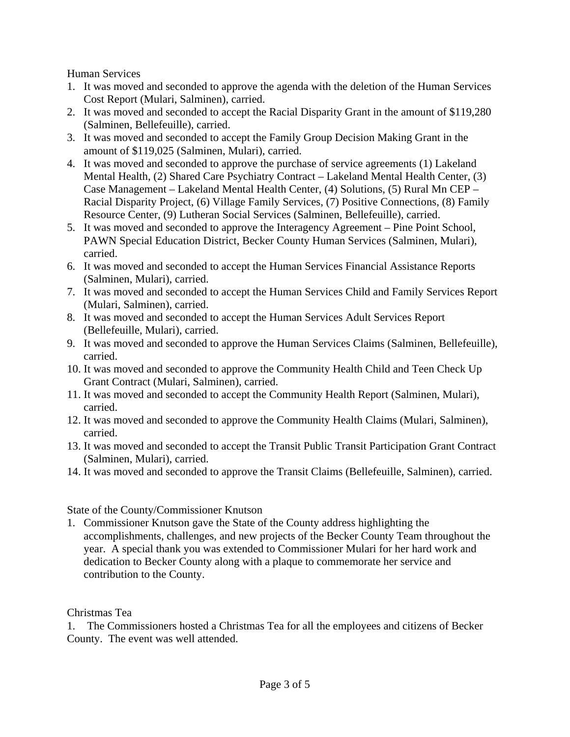Human Services

- 1. It was moved and seconded to approve the agenda with the deletion of the Human Services Cost Report (Mulari, Salminen), carried.
- 2. It was moved and seconded to accept the Racial Disparity Grant in the amount of \$119,280 (Salminen, Bellefeuille), carried.
- 3. It was moved and seconded to accept the Family Group Decision Making Grant in the amount of \$119,025 (Salminen, Mulari), carried.
- 4. It was moved and seconded to approve the purchase of service agreements (1) Lakeland Mental Health, (2) Shared Care Psychiatry Contract – Lakeland Mental Health Center, (3) Case Management – Lakeland Mental Health Center, (4) Solutions, (5) Rural Mn CEP – Racial Disparity Project, (6) Village Family Services, (7) Positive Connections, (8) Family Resource Center, (9) Lutheran Social Services (Salminen, Bellefeuille), carried.
- 5. It was moved and seconded to approve the Interagency Agreement Pine Point School, PAWN Special Education District, Becker County Human Services (Salminen, Mulari), carried.
- 6. It was moved and seconded to accept the Human Services Financial Assistance Reports (Salminen, Mulari), carried.
- 7. It was moved and seconded to accept the Human Services Child and Family Services Report (Mulari, Salminen), carried.
- 8. It was moved and seconded to accept the Human Services Adult Services Report (Bellefeuille, Mulari), carried.
- 9. It was moved and seconded to approve the Human Services Claims (Salminen, Bellefeuille), carried.
- 10. It was moved and seconded to approve the Community Health Child and Teen Check Up Grant Contract (Mulari, Salminen), carried.
- 11. It was moved and seconded to accept the Community Health Report (Salminen, Mulari), carried.
- 12. It was moved and seconded to approve the Community Health Claims (Mulari, Salminen), carried.
- 13. It was moved and seconded to accept the Transit Public Transit Participation Grant Contract (Salminen, Mulari), carried.
- 14. It was moved and seconded to approve the Transit Claims (Bellefeuille, Salminen), carried.

State of the County/Commissioner Knutson

1. Commissioner Knutson gave the State of the County address highlighting the accomplishments, challenges, and new projects of the Becker County Team throughout the year. A special thank you was extended to Commissioner Mulari for her hard work and dedication to Becker County along with a plaque to commemorate her service and contribution to the County.

Christmas Tea

1. The Commissioners hosted a Christmas Tea for all the employees and citizens of Becker County. The event was well attended.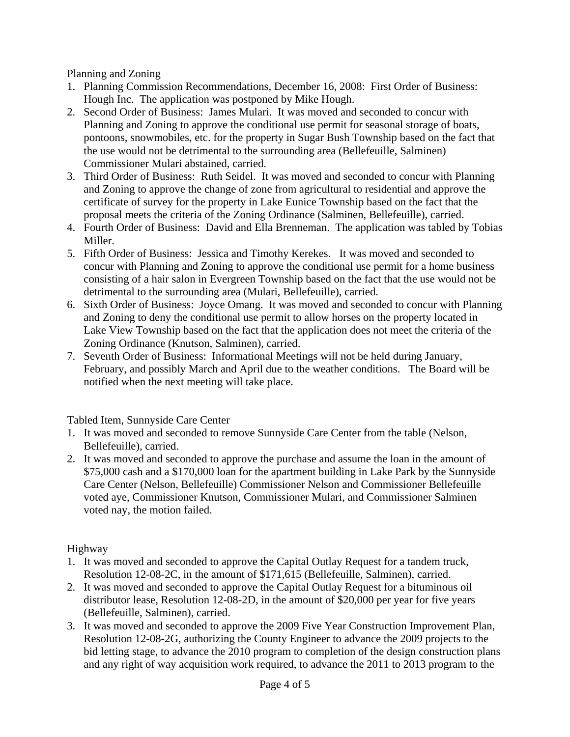Planning and Zoning

- 1. Planning Commission Recommendations, December 16, 2008: First Order of Business: Hough Inc. The application was postponed by Mike Hough.
- 2. Second Order of Business: James Mulari. It was moved and seconded to concur with Planning and Zoning to approve the conditional use permit for seasonal storage of boats, pontoons, snowmobiles, etc. for the property in Sugar Bush Township based on the fact that the use would not be detrimental to the surrounding area (Bellefeuille, Salminen) Commissioner Mulari abstained, carried.
- 3. Third Order of Business: Ruth Seidel. It was moved and seconded to concur with Planning and Zoning to approve the change of zone from agricultural to residential and approve the certificate of survey for the property in Lake Eunice Township based on the fact that the proposal meets the criteria of the Zoning Ordinance (Salminen, Bellefeuille), carried.
- 4. Fourth Order of Business: David and Ella Brenneman. The application was tabled by Tobias Miller.
- 5. Fifth Order of Business: Jessica and Timothy Kerekes. It was moved and seconded to concur with Planning and Zoning to approve the conditional use permit for a home business consisting of a hair salon in Evergreen Township based on the fact that the use would not be detrimental to the surrounding area (Mulari, Bellefeuille), carried.
- 6. Sixth Order of Business: Joyce Omang. It was moved and seconded to concur with Planning and Zoning to deny the conditional use permit to allow horses on the property located in Lake View Township based on the fact that the application does not meet the criteria of the Zoning Ordinance (Knutson, Salminen), carried.
- 7. Seventh Order of Business: Informational Meetings will not be held during January, February, and possibly March and April due to the weather conditions. The Board will be notified when the next meeting will take place.

Tabled Item, Sunnyside Care Center

- 1. It was moved and seconded to remove Sunnyside Care Center from the table (Nelson, Bellefeuille), carried.
- 2. It was moved and seconded to approve the purchase and assume the loan in the amount of \$75,000 cash and a \$170,000 loan for the apartment building in Lake Park by the Sunnyside Care Center (Nelson, Bellefeuille) Commissioner Nelson and Commissioner Bellefeuille voted aye, Commissioner Knutson, Commissioner Mulari, and Commissioner Salminen voted nay, the motion failed.

Highway

- 1. It was moved and seconded to approve the Capital Outlay Request for a tandem truck, Resolution 12-08-2C, in the amount of \$171,615 (Bellefeuille, Salminen), carried.
- 2. It was moved and seconded to approve the Capital Outlay Request for a bituminous oil distributor lease, Resolution 12-08-2D, in the amount of \$20,000 per year for five years (Bellefeuille, Salminen), carried.
- 3. It was moved and seconded to approve the 2009 Five Year Construction Improvement Plan, Resolution 12-08-2G, authorizing the County Engineer to advance the 2009 projects to the bid letting stage, to advance the 2010 program to completion of the design construction plans and any right of way acquisition work required, to advance the 2011 to 2013 program to the